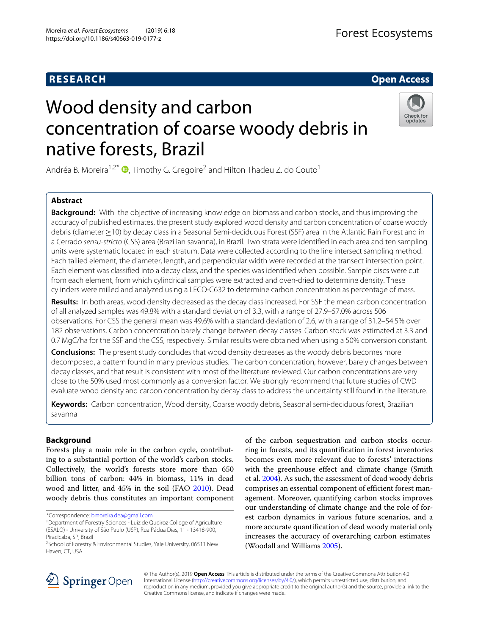# **RESEARCH Open Access**

# Wood density and carbon concentration of coarse woody debris in native forests, Brazil



Andréa B. Moreira<sup>1[,](http://orcid.org/0000-0001-8965-6484)2\*</sup>  $\bullet$ , Timothy G. Gregoire<sup>2</sup> and Hilton Thadeu Z. do Couto<sup>1</sup>

# **Abstract**

**Background:** With the objective of increasing knowledge on biomass and carbon stocks, and thus improving the accuracy of published estimates, the present study explored wood density and carbon concentration of coarse woody debris (diameter ≥10) by decay class in a Seasonal Semi-deciduous Forest (SSF) area in the Atlantic Rain Forest and in a Cerrado sensu-stricto (CSS) area (Brazilian savanna), in Brazil. Two strata were identified in each area and ten sampling units were systematic located in each stratum. Data were collected according to the line intersect sampling method. Each tallied element, the diameter, length, and perpendicular width were recorded at the transect intersection point. Each element was classified into a decay class, and the species was identified when possible. Sample discs were cut from each element, from which cylindrical samples were extracted and oven-dried to determine density. These cylinders were milled and analyzed using a LECO-C632 to determine carbon concentration as percentage of mass.

**Results:** In both areas, wood density decreased as the decay class increased. For SSF the mean carbon concentration of all analyzed samples was 49.8% with a standard deviation of 3.3, with a range of 27.9–57.0% across 506 observations. For CSS the general mean was 49.6% with a standard deviation of 2.6, with a range of 31.2–54.5% over 182 observations. Carbon concentration barely change between decay classes. Carbon stock was estimated at 3.3 and 0.7 MgC/ha for the SSF and the CSS, respectively. Similar results were obtained when using a 50% conversion constant.

**Conclusions:** The present study concludes that wood density decreases as the woody debris becomes more decomposed, a pattern found in many previous studies. The carbon concentration, however, barely changes between decay classes, and that result is consistent with most of the literature reviewed. Our carbon concentrations are very close to the 50% used most commonly as a conversion factor. We strongly recommend that future studies of CWD evaluate wood density and carbon concentration by decay class to address the uncertainty still found in the literature.

**Keywords:** Carbon concentration, Wood density, Coarse woody debris, Seasonal semi-deciduous forest, Brazilian savanna

# **Background**

Forests play a main role in the carbon cycle, contributing to a substantial portion of the world's carbon stocks. Collectively, the world's forests store more than 650 billion tons of carbon: 44% in biomass, 11% in dead wood and litter, and 45% in the soil (FAO [2010\)](#page-8-0). Dead woody debris thus constitutes an important component

\*Correspondence: [bmoreira.dea@gmail.com](mailto: bmoreira.dea@gmail.com)

of the carbon sequestration and carbon stocks occurring in forests, and its quantification in forest inventories becomes even more relevant due to forests' interactions with the greenhouse effect and climate change (Smith et al. [2004\)](#page-8-1). As such, the assessment of dead woody debris comprises an essential component of efficient forest management. Moreover, quantifying carbon stocks improves our understanding of climate change and the role of forest carbon dynamics in various future scenarios, and a more accurate quantification of dead woody material only increases the accuracy of overarching carbon estimates (Woodall and Williams [2005\)](#page-9-0).



© The Author(s). 2019 **Open Access** This article is distributed under the terms of the Creative Commons Attribution 4.0 International License [\(http://creativecommons.org/licenses/by/4.0/\)](http://creativecommons.org/licenses/by/4.0/), which permits unrestricted use, distribution, and reproduction in any medium, provided you give appropriate credit to the original author(s) and the source, provide a link to the Creative Commons license, and indicate if changes were made.

<sup>1</sup>Department of Forestry Sciences - Luiz de Queiroz College of Agriculture (ESALQ) - University of São Paulo (USP), Rua Pádua Dias, 11 - 13418-900, Piracicaba, SP, Brazil

<sup>&</sup>lt;sup>2</sup>School of Forestry & Environmental Studies, Yale University, 06511 New Haven, CT, USA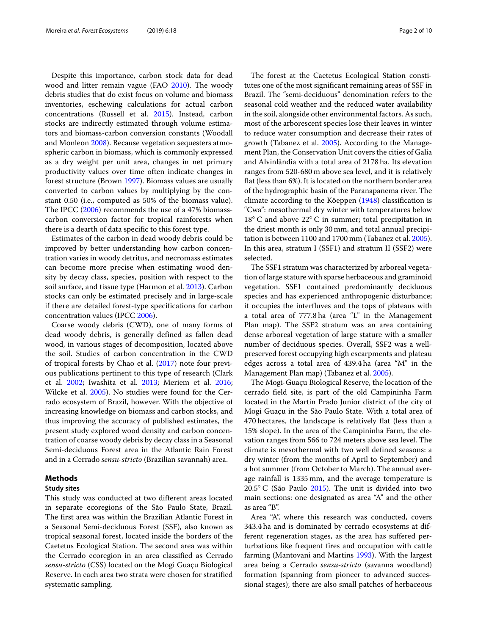Despite this importance, carbon stock data for dead wood and litter remain vague (FAO [2010\)](#page-8-0). The woody debris studies that do exist focus on volume and biomass inventories, eschewing calculations for actual carbon concentrations (Russell et al. [2015\)](#page-8-2). Instead, carbon stocks are indirectly estimated through volume estimators and biomass-carbon conversion constants (Woodall and Monleon [2008\)](#page-9-1). Because vegetation sequesters atmospheric carbon in biomass, which is commonly expressed as a dry weight per unit area, changes in net primary productivity values over time often indicate changes in forest structure (Brown [1997\)](#page-8-3). Biomass values are usually converted to carbon values by multiplying by the constant 0.50 (i.e., computed as 50% of the biomass value). The IPCC [\(2006\)](#page-8-4) recommends the use of a 47% biomasscarbon conversion factor for tropical rainforests when there is a dearth of data specific to this forest type.

Estimates of the carbon in dead woody debris could be improved by better understanding how carbon concentration varies in woody detritus, and necromass estimates can become more precise when estimating wood density by decay class, species, position with respect to the soil surface, and tissue type (Harmon et al. [2013\)](#page-8-5). Carbon stocks can only be estimated precisely and in large-scale if there are detailed forest-type specifications for carbon concentration values (IPCC [2006\)](#page-8-4).

Coarse woody debris (CWD), one of many forms of dead woody debris, is generally defined as fallen dead wood, in various stages of decomposition, located above the soil. Studies of carbon concentration in the CWD of tropical forests by Chao et al. [\(2017\)](#page-8-6) note four previous publications pertinent to this type of research (Clark et al. [2002;](#page-8-7) Iwashita et al. [2013;](#page-8-8) Meriem et al. [2016;](#page-8-9) Wilcke et al. [2005\)](#page-9-2). No studies were found for the Cerrado ecosystem of Brazil, however. With the objective of increasing knowledge on biomass and carbon stocks, and thus improving the accuracy of published estimates, the present study explored wood density and carbon concentration of coarse woody debris by decay class in a Seasonal Semi-deciduous Forest area in the Atlantic Rain Forest and in a Cerrado *sensu-stricto* (Brazilian savannah) area.

## **Methods**

### **Study sites**

This study was conducted at two different areas located in separate ecoregions of the São Paulo State, Brazil. The first area was within the Brazilian Atlantic Forest in a Seasonal Semi-deciduous Forest (SSF), also known as tropical seasonal forest, located inside the borders of the Caetetus Ecological Station. The second area was within the Cerrado ecoregion in an area classified as Cerrado *sensu-stricto* (CSS) located on the Mogi Guaçu Biological Reserve. In each area two strata were chosen for stratified systematic sampling.

The forest at the Caetetus Ecological Station constitutes one of the most significant remaining areas of SSF in Brazil. The "semi-deciduous" denomination refers to the seasonal cold weather and the reduced water availability in the soil, alongside other environmental factors. As such, most of the arborescent species lose their leaves in winter to reduce water consumption and decrease their rates of growth (Tabanez et al. [2005\)](#page-9-3). According to the Management Plan, the Conservation Unit covers the cities of Galia and Alvinlândia with a total area of 2178 ha. Its elevation ranges from 520-680 m above sea level, and it is relatively flat (less than 6%). It is located on the northern border area of the hydrographic basin of the Paranapanema river. The climate according to the Köeppen [\(1948\)](#page-8-10) classification is "Cwa": mesothermal dry winter with temperatures below 18◦ C and above 22◦ C in summer; total precipitation in the driest month is only 30 mm, and total annual precipitation is between 1100 and 1700 mm (Tabanez et al. [2005\)](#page-9-3). In this area, stratum I (SSF1) and stratum II (SSF2) were selected.

The SSF1 stratum was characterized by arboreal vegetation of large stature with sparse herbaceous and graminoid vegetation. SSF1 contained predominantly deciduous species and has experienced anthropogenic disturbance; it occupies the interfluves and the tops of plateaus with a total area of 777.8 ha (area "L" in the Management Plan map). The SSF2 stratum was an area containing dense arboreal vegetation of large stature with a smaller number of deciduous species. Overall, SSF2 was a wellpreserved forest occupying high escarpments and plateau edges across a total area of 439.4 ha (area "M" in the Management Plan map) (Tabanez et al. [2005\)](#page-9-3).

The Mogi-Guaçu Biological Reserve, the location of the cerrado field site, is part of the old Campininha Farm located in the Martin Prado Junior district of the city of Mogi Guaçu in the São Paulo State. With a total area of 470 hectares, the landscape is relatively flat (less than a 15% slope). In the area of the Campininha Farm, the elevation ranges from 566 to 724 meters above sea level. The climate is mesothermal with two well defined seasons: a dry winter (from the months of April to September) and a hot summer (from October to March). The annual average rainfall is 1335 mm, and the average temperature is 20.5◦ C (São Paulo [2015\)](#page-8-11). The unit is divided into two main sections: one designated as area "A" and the other as area "B".

Area "A", where this research was conducted, covers 343.4 ha and is dominated by cerrado ecosystems at different regeneration stages, as the area has suffered perturbations like frequent fires and occupation with cattle farming (Mantovani and Martins [1993\)](#page-8-12). With the largest area being a Cerrado *sensu-stricto* (savanna woodland) formation (spanning from pioneer to advanced successional stages); there are also small patches of herbaceous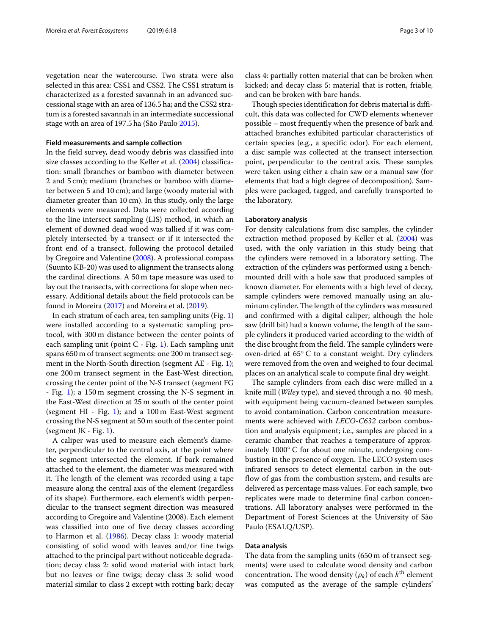vegetation near the watercourse. Two strata were also selected in this area: CSS1 and CSS2. The CSS1 stratum is characterized as a forested savannah in an advanced successional stage with an area of 136.5 ha; and the CSS2 stratum is a forested savannah in an intermediate successional stage with an area of 197.5 ha (São Paulo [2015\)](#page-8-11).

#### **Field measurements and sample collection**

In the field survey, dead woody debris was classified into size classes according to the Keller et al. [\(2004\)](#page-8-13) classification: small (branches or bamboo with diameter between 2 and 5 cm); medium (branches or bamboo with diameter between 5 and 10 cm); and large (woody material with diameter greater than 10 cm). In this study, only the large elements were measured. Data were collected according to the line intersect sampling (LIS) method, in which an element of downed dead wood was tallied if it was completely intersected by a transect or if it intersected the front end of a transect, following the protocol detailed by Gregoire and Valentine [\(2008\)](#page-8-14). A professional compass (Suunto KB-20) was used to alignment the transects along the cardinal directions. A 50 m tape measure was used to lay out the transects, with corrections for slope when necessary. Additional details about the field protocols can be found in Moreira [\(2017\)](#page-8-15) and Moreira et al. [\(2019\)](#page-8-16).

In each stratum of each area, ten sampling units (Fig. [1\)](#page-3-0) were installed according to a systematic sampling protocol, with 300 m distance between the center points of each sampling unit (point  $C$  - Fig. [1\)](#page-3-0). Each sampling unit spans 650 m of transect segments: one 200 m transect seg-ment in the North-South direction (segment AE - Fig. [1\)](#page-3-0); one 200 m transect segment in the East-West direction, crossing the center point of the N-S transect (segment FG - Fig. [1\)](#page-3-0); a 150 m segment crossing the N-S segment in the East-West direction at 25 m south of the center point (segment HI - Fig. [1\)](#page-3-0); and a 100 m East-West segment crossing the N-S segment at 50 m south of the center point (segment JK - Fig.  $1$ ).

A caliper was used to measure each element's diameter, perpendicular to the central axis, at the point where the segment intersected the element. If bark remained attached to the element, the diameter was measured with it. The length of the element was recorded using a tape measure along the central axis of the element (regardless of its shape). Furthermore, each element's width perpendicular to the transect segment direction was measured according to Gregoire and Valentine (2008). Each element was classified into one of five decay classes according to Harmon et al. [\(1986\)](#page-8-17). Decay class 1: woody material consisting of solid wood with leaves and/or fine twigs attached to the principal part without noticeable degradation; decay class 2: solid wood material with intact bark but no leaves or fine twigs; decay class 3: solid wood material similar to class 2 except with rotting bark; decay

class 4: partially rotten material that can be broken when kicked; and decay class 5: material that is rotten, friable, and can be broken with bare hands.

Though species identification for debris material is difficult, this data was collected for CWD elements whenever possible – most frequently when the presence of bark and attached branches exhibited particular characteristics of certain species (e.g., a specific odor). For each element, a disc sample was collected at the transect intersection point, perpendicular to the central axis. These samples were taken using either a chain saw or a manual saw (for elements that had a high degree of decomposition). Samples were packaged, tagged, and carefully transported to the laboratory.

#### **Laboratory analysis**

For density calculations from disc samples, the cylinder extraction method proposed by Keller et al. [\(2004\)](#page-8-13) was used, with the only variation in this study being that the cylinders were removed in a laboratory setting. The extraction of the cylinders was performed using a benchmounted drill with a hole saw that produced samples of known diameter. For elements with a high level of decay, sample cylinders were removed manually using an aluminum cylinder. The length of the cylinders was measured and confirmed with a digital caliper; although the hole saw (drill bit) had a known volume, the length of the sample cylinders it produced varied according to the width of the disc brought from the field. The sample cylinders were oven-dried at 65◦ C to a constant weight. Dry cylinders were removed from the oven and weighed to four decimal places on an analytical scale to compute final dry weight.

The sample cylinders from each disc were milled in a knife mill (*Wiley* type), and sieved through a no. 40 mesh, with equipment being vacuum-cleaned between samples to avoid contamination. Carbon concentration measurements were achieved with *LECO-C632* carbon combustion and analysis equipment; i.e., samples are placed in a ceramic chamber that reaches a temperature of approximately 1000◦ C for about one minute, undergoing combustion in the presence of oxygen. The LECO system uses infrared sensors to detect elemental carbon in the outflow of gas from the combustion system, and results are delivered as percentage mass values. For each sample, two replicates were made to determine final carbon concentrations. All laboratory analyses were performed in the Department of Forest Sciences at the University of São Paulo (ESALQ/USP).

#### **Data analysis**

The data from the sampling units (650 m of transect segments) were used to calculate wood density and carbon concentration. The wood density  $(\rho_k)$  of each  $k^{\text{th}}$  element was computed as the average of the sample cylinders'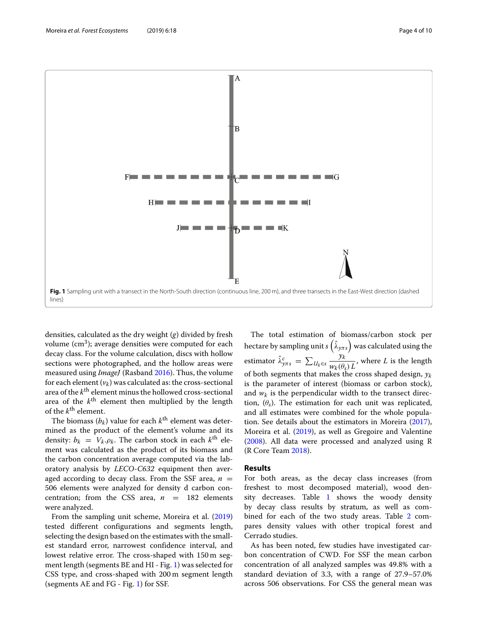

<span id="page-3-0"></span>densities, calculated as the dry weight (*g*) divided by fresh volume  $(cm<sup>3</sup>)$ ; average densities were computed for each decay class. For the volume calculation, discs with hollow sections were photographed, and the hollow areas were measured using *ImageJ* (Rasband [2016\)](#page-8-18). Thus, the volume for each element  $(v_k)$  was calculated as: the cross-sectional area of the *k*th element minus the hollowed cross-sectional area of the *k*th element then multiplied by the length of the *k*th element.

The biomass  $(b_k)$  value for each  $k^{\text{th}}$  element was determined as the product of the element's volume and its density:  $b_k = V_k \cdot \rho_k$ . The carbon stock in each  $k^{\text{th}}$  element was calculated as the product of its biomass and the carbon concentration average computed via the laboratory analysis by *LECO-C632* equipment then averaged according to decay class. From the SSF area,  $n =$ 506 elements were analyzed for density d carbon concentration; from the CSS area,  $n = 182$  elements were analyzed.

From the sampling unit scheme, Moreira et al. [\(2019\)](#page-8-16) tested different configurations and segments length, selecting the design based on the estimates with the smallest standard error, narrowest confidence interval, and lowest relative error. The cross-shaped with 150 m segment length (segments BE and HI - Fig. [1\)](#page-3-0) was selected for CSS type, and cross-shaped with 200 m segment length (segments AE and FG - Fig. [1\)](#page-3-0) for SSF.

The total estimation of biomass/carbon stock per hectare by sampling unit  $s\left(\hat{\lambda}_{\text{y}\pi s}\right)$  was calculated using the estimator  $\hat{\lambda}_{y\pi s}^c = \sum_{U_k \in s}$ *yk*  $\frac{\partial K}{\partial w_k(\theta_s)L}$ , where *L* is the length of both segments that makes the cross shaped design,  $y_k$ is the parameter of interest (biomass or carbon stock), and  $w_k$  is the perpendicular width to the transect direction,  $(\theta_s)$ . The estimation for each unit was replicated, and all estimates were combined for the whole population. See details about the estimators in Moreira [\(2017\)](#page-8-15), Moreira et al. [\(2019\)](#page-8-16), as well as Gregoire and Valentine [\(2008\)](#page-8-14). All data were processed and analyzed using R (R Core Team [2018\)](#page-8-19).

#### **Results**

For both areas, as the decay class increases (from freshest to most decomposed material), wood density decreases. Table [1](#page-4-0) shows the woody density by decay class results by stratum, as well as combined for each of the two study areas. Table [2](#page-4-1) compares density values with other tropical forest and Cerrado studies.

As has been noted, few studies have investigated carbon concentration of CWD. For SSF the mean carbon concentration of all analyzed samples was 49.8% with a standard deviation of 3.3, with a range of 27.9–57.0% across 506 observations. For CSS the general mean was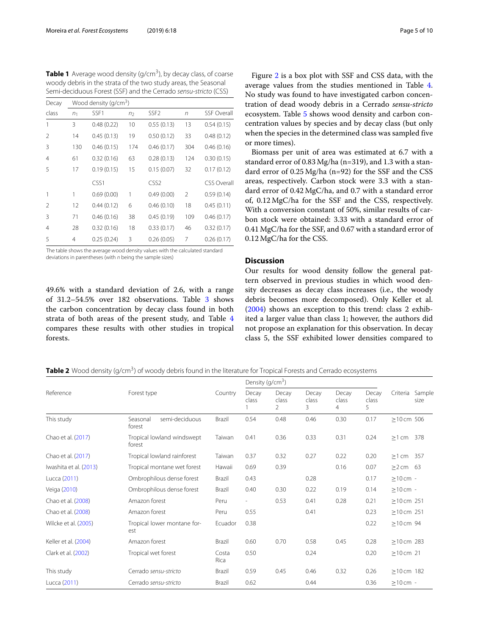<span id="page-4-0"></span>**Table 1** Average wood density (g/cm<sup>3</sup>), by decay class, of coarse woody debris in the strata of the two study areas, the Seasonal Semi-deciduous Forest (SSF) and the Cerrado sensu-stricto (CSS)

| Decay          | Wood density (g/cm <sup>3</sup> ) |            |                |                  |                |                    |  |  |  |
|----------------|-----------------------------------|------------|----------------|------------------|----------------|--------------------|--|--|--|
| class          | n <sub>1</sub>                    | SSF1       | n <sub>2</sub> | SSF <sub>2</sub> | n              | <b>SSF Overall</b> |  |  |  |
| 1              | 3                                 | 0.48(0.22) | 10             | 0.55(0.13)       | 13             | 0.54(0.15)         |  |  |  |
| 2              | 14                                | 0.45(0.13) | 19             | 0.50(0.12)       | 33             | 0.48(0.12)         |  |  |  |
| 3              | 130                               | 0.46(0.15) | 174            | 0.46(0.17)       | 304            | 0.46(0.16)         |  |  |  |
| 4              | 61                                | 0.32(0.16) | 63             | 0.28(0.13)       | 124            | 0.30(0.15)         |  |  |  |
| 5              | 17                                | 0.19(0.15) | 15             | 0.15(0.07)       | 32             | 0.17(0.12)         |  |  |  |
|                |                                   | CSS1       |                | CSS <sub>2</sub> |                | <b>CSS Overall</b> |  |  |  |
| 1              | 1                                 | 0.69(0.00) | 1              | 0.49(0.00)       | $\mathfrak{D}$ | 0.59(0.14)         |  |  |  |
| 2              | 12                                | 0.44(0.12) | 6              | 0.46(0.10)       | 18             | 0.45(0.11)         |  |  |  |
| 3              | 71                                | 0.46(0.16) | 38             | 0.45(0.19)       | 109            | 0.46(0.17)         |  |  |  |
| $\overline{4}$ | 28                                | 0.32(0.16) | 18             | 0.33(0.17)       | 46             | 0.32(0.17)         |  |  |  |
| 5              | 4                                 | 0.25(0.24) | 3              | 0.26(0.05)       | 7              | 0.26(0.17)         |  |  |  |

The table shows the average wood density values with the calculated standard deviations in parentheses (with  $n$  being the sample sizes)

49.6% with a standard deviation of 2.6, with a range of 31.2–54.5% over 182 observations. Table [3](#page-5-0) shows the carbon concentration by decay class found in both strata of both areas of the present study, and Table [4](#page-5-1) compares these results with other studies in tropical forests.

Figure [2](#page-6-0) is a box plot with SSF and CSS data, with the average values from the studies mentioned in Table [4.](#page-5-1) No study was found to have investigated carbon concentration of dead woody debris in a Cerrado *sensu-stricto* ecosystem. Table [5](#page-7-0) shows wood density and carbon concentration values by species and by decay class (but only when the species in the determined class was sampled five or more times).

Biomass per unit of area was estimated at 6.7 with a standard error of 0.83 Mg/ha (n=319), and 1.3 with a standard error of 0.25 Mg/ha (n=92) for the SSF and the CSS areas, respectively. Carbon stock were 3.3 with a standard error of 0.42 MgC/ha, and 0.7 with a standard error of, 0.12 MgC/ha for the SSF and the CSS, respectively. With a conversion constant of 50%, similar results of carbon stock were obtained: 3.33 with a standard error of 0.41 MgC/ha for the SSF, and 0.67 with a standard error of 0.12 MgC/ha for the CSS.

#### **Discussion**

Our results for wood density follow the general pattern observed in previous studies in which wood density decreases as decay class increases (i.e., the woody debris becomes more decomposed). Only Keller et al. [\(2004\)](#page-8-13) shows an exception to this trend: class 2 exhibited a larger value than class 1; however, the authors did not propose an explanation for this observation. In decay class 5, the SSF exhibited lower densities compared to

<span id="page-4-1"></span>**Table 2** Wood density (g/cm<sup>3</sup>) of woody debris found in the literature for Tropical Forests and Cerrado ecosystems

|                        | Forest type                          | Country       | Density ( $q/cm^3$ )     |                     |                     |                     |                     |                  |                |
|------------------------|--------------------------------------|---------------|--------------------------|---------------------|---------------------|---------------------|---------------------|------------------|----------------|
| Reference              |                                      |               | Decay<br>class           | Decay<br>class<br>2 | Decay<br>class<br>3 | Decay<br>class<br>4 | Decay<br>class<br>5 | Criteria         | Sample<br>size |
| This study             | semi-deciduous<br>Seasonal<br>forest | Brazil        | 0.54                     | 0.48                | 0.46                | 0.30                | 0.17                | $\geq$ 10 cm 506 |                |
| Chao et al. (2017)     | Tropical lowland windswept<br>forest | Taiwan        | 0.41                     | 0.36                | 0.33                | 0.31                | 0.24                | $\geq$ 1 cm 378  |                |
| Chao et al. (2017)     | Tropical lowland rainforest          | Taiwan        | 0.37                     | 0.32                | 0.27                | 0.22                | 0.20                | $>1$ cm 357      |                |
| Iwashita et al. (2013) | Tropical montane wet forest          | Hawaii        | 0.69                     | 0.39                |                     | 0.16                | 0.07                | $\geq$ 2 cm 63   |                |
| Lucca (2011)           | Ombrophilous dense forest            | Brazil        | 0.43                     |                     | 0.28                |                     | 0.17                | $\geq$ 10 cm -   |                |
| Veiga (2010)           | Ombrophilous dense forest            | Brazil        | 0.40                     | 0.30                | 0.22                | 0.19                | 0.14                | $\geq$ 10 cm -   |                |
| Chao et al. (2008)     | Amazon forest                        | Peru          | $\overline{\phantom{a}}$ | 0.53                | 0.41                | 0.28                | 0.21                | $≥10$ cm 251     |                |
| Chao et al. (2008)     | Amazon forest                        | Peru          | 0.55                     |                     | 0.41                |                     | 0.23                | $\geq$ 10 cm 251 |                |
| Wilcke et al. (2005)   | Tropical lower montane for-<br>est   | Ecuador       | 0.38                     |                     |                     |                     | 0.22                | $\geq$ 10 cm 94  |                |
| Keller et al. (2004)   | Amazon forest                        | Brazil        | 0.60                     | 0.70                | 0.58                | 0.45                | 0.28                | $\geq$ 10 cm 283 |                |
| Clark et al. (2002)    | Tropical wet forest                  | Costa<br>Rica | 0.50                     |                     | 0.24                |                     | 0.20                | $>10$ cm 21      |                |
| This study             | Cerrado sensu-stricto                | Brazil        | 0.59                     | 0.45                | 0.46                | 0.32                | 0.26                | $\geq$ 10 cm 182 |                |
| Lucca (2011)           | Cerrado sensu-stricto                | Brazil        | 0.62                     |                     | 0.44                |                     | 0.36                | $\geq$ 10 cm -   |                |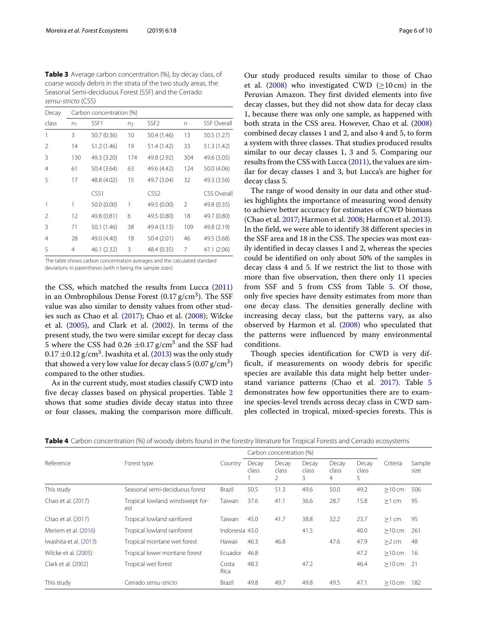<span id="page-5-0"></span>**Table 3** Average carbon concentration (%), by decay class, of coarse woody debris in the strata of the two study areas, the Seasonal Semi-deciduous Forest (SSF) and the Cerrado sensu-stricto (CSS)

| Decay | Carbon concentration (%) |                        |     |                  |                |                    |  |  |  |
|-------|--------------------------|------------------------|-----|------------------|----------------|--------------------|--|--|--|
| class | n <sub>1</sub>           | SSF1<br>n <sub>2</sub> |     | SSF <sub>2</sub> | $\sqrt{n}$     | <b>SSF Overall</b> |  |  |  |
| 1     | 3                        | 50.7 (0.36)            | 10  | 50.4 (1.46)      | 13             | 50.5 (1.27)        |  |  |  |
| 2     | 14                       | 51.2 (1.46)            | 19  | 51.4 (1.42)      | 33             | 51.3 (1.42)        |  |  |  |
| 3     | 130                      | 49.3 (3.20)            | 174 | 49.8 (2.92)      | 304            | 49.6 (3.05)        |  |  |  |
| 4     | 61                       | 50.4 (3.64)            | 63  | 49.6 (4.42)      | 124            | 50.0 (4.06)        |  |  |  |
| 5     | 17                       | 48.8 (4.02)            | 15  | 49.7 (3.04)      | 32             |                    |  |  |  |
|       |                          | CSS1                   |     | CSS <sub>2</sub> |                | <b>CSS Overall</b> |  |  |  |
| 1     | 1                        | 50.0 (0.00)            | 1   | 49.5 (0.00)      | $\mathfrak{D}$ | 49.8 (0.35)        |  |  |  |
| 2     | 12                       | 49.8 (0.81)            | 6   | 49.5 (0.80)      | 18             | 49.7 (0.80)        |  |  |  |
| 3     | 71                       | 50.1 (1.46)            | 38  | 49.4 (3.13)      | 109            | 49.8 (2.19)        |  |  |  |
| 4     | 28                       | 49.0 (4.40)            | 18  | 50.4 (2.01)      | 46             | 49.5 (3.68)        |  |  |  |
| 5     | 4                        | 46.1 (2.32)            | 3   | 48.4 (0.35)      | 7              | 47.1 (2.06)        |  |  |  |

The table shows carbon concentration averages and the calculated standard deviations in parentheses (with  $n$  being the sample sizes)

the CSS, which matched the results from Lucca [\(2011\)](#page-8-20) in an Ombrophilous Dense Forest  $(0.17 \text{ g/cm}^3)$ . The SSF value was also similar to density values from other studies such as Chao et al. [\(2017\)](#page-8-6); Chao et al. [\(2008\)](#page-8-21); Wilcke et al. [\(2005\)](#page-9-2), and Clark et al. [\(2002\)](#page-8-7). In terms of the present study, the two were similar except for decay class 5 where the CSS had 0.26  $\pm$ 0.17 g/cm<sup>3</sup> and the SSF had  $0.17 \pm 0.12$  g/cm<sup>3</sup>. Iwashita et al. [\(2013\)](#page-8-8) was the only study that showed a very low value for decay class  $5(0.07 \text{ g/cm}^3)$ compared to the other studies.

As in the current study, most studies classify CWD into five decay classes based on physical properties. Table [2](#page-4-1) shows that some studies divide decay status into three or four classes, making the comparison more difficult.

Our study produced results similar to those of Chao et al. [\(2008\)](#page-8-21) who investigated CWD ( $\geq$ 10 cm) in the Peruvian Amazon. They first divided elements into five decay classes, but they did not show data for decay class 1, because there was only one sample, as happened with both strata in the CSS area. However, Chao et al. [\(2008\)](#page-8-21) combined decay classes 1 and 2, and also 4 and 5, to form a system with three classes. That studies produced results similar to our decay classes 1, 3 and 5. Comparing our results from the CSS with Lucca [\(2011\)](#page-8-20), the values are similar for decay classes 1 and 3, but Lucca's are higher for decay class 5.

The range of wood density in our data and other studies highlights the importance of measuring wood density to achieve better accuracy for estimates of CWD biomass (Chao et al. [2017;](#page-8-6) Harmon et al. [2008;](#page-8-22) Harmon et al. [2013\)](#page-8-5). In the field, we were able to identify 38 different species in the SSF area and 18 in the CSS. The species was most easily identified in decay classes 1 and 2, whereas the species could be identified on only about 50% of the samples in decay class 4 and 5. If we restrict the list to those with more than five observation, then there only 11 species from SSF and 5 from CSS from Table [5.](#page-7-0) Of those, only five species have density estimates from more than one decay class. The densities generally decline with increasing decay class, but the patterns vary, as also observed by Harmon et al. [\(2008\)](#page-8-22) who speculated that the patterns were influenced by many environmental conditions.

Though species identification for CWD is very difficult, if measurements on woody debris for specific species are available this data might help better understand variance patterns (Chao et al. [2017\)](#page-8-6). Table [5](#page-7-0) demonstrates how few opportunities there are to examine species-level trends across decay class in CWD samples collected in tropical, mixed-species forests. This is

<span id="page-5-1"></span>

|                        | Forest type                            | Country        | Carbon concentration (%) |                     |                     |                     |                     |          |                |
|------------------------|----------------------------------------|----------------|--------------------------|---------------------|---------------------|---------------------|---------------------|----------|----------------|
| Reference              |                                        |                | Decav<br>class           | Decay<br>class<br>2 | Decay<br>class<br>3 | Decay<br>class<br>4 | Decay<br>class<br>5 | Criteria | Sample<br>size |
| This study             | Seasonal semi-deciduous forest         | Brazil         | 50.5                     | 51.3                | 49.6                | 50.0                | 49.2                | $>10$ cm | 506            |
| Chao et al. (2017)     | Tropical lowland windswept for-<br>est | Taiwan         | 37.6                     | 41.1                | 36.6                | 28.7                | 15.8                | $>1$ cm  | 95             |
| Chao et al. (2017)     | Tropical lowland rainforest            | Taiwan         | 45.0                     | 41.7                | 38.8                | 32.2                | 23.7                | $>1$ cm  | 95             |
| Meriem et al. (2016)   | Tropical lowland rainforest            | Indonesia 43.0 |                          |                     | 41.5                |                     | 40.0                | $>10$ cm | 261            |
| Iwashita et al. (2013) | Tropical montane wet forest            | Hawaii         | 46.3                     | 46.8                |                     | 47.6                | 47.9                | $>2$ cm  | 48             |
| Wilcke et al. (2005)   | Tropical lower montane forest          | Ecuador        | 46.8                     |                     |                     |                     | 47.2                | $>10$ cm | 16             |
| Clark et al. (2002)    | Tropical wet forest                    | Costa<br>Rica  | 48.3                     |                     | 47.2                |                     | 46.4                | $>10$ cm | -21            |
| This study             | Cerrado sensu-stricto                  | Brazil         | 49.8                     | 49.7                | 49.8                | 49.5                | 47.1                | >10cm    | 182            |

**Table 4** Carbon concentration (%) of woody debris found in the forestry literature for Tropical Forests and Cerrado ecosystems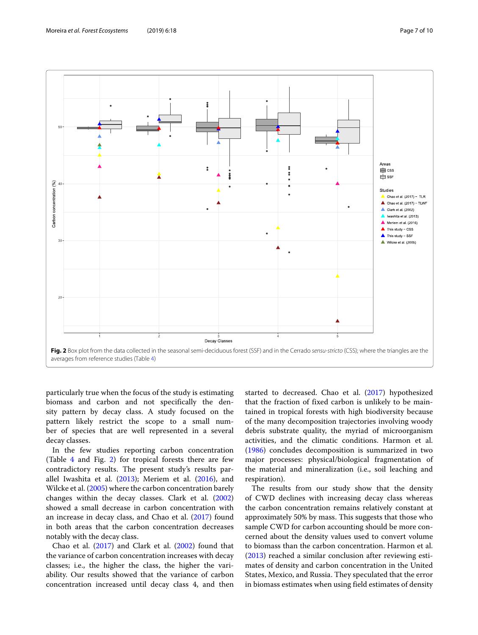

<span id="page-6-0"></span>particularly true when the focus of the study is estimating biomass and carbon and not specifically the density pattern by decay class. A study focused on the pattern likely restrict the scope to a small number of species that are well represented in a several decay classes.

In the few studies reporting carbon concentration (Table [4](#page-5-1) and Fig. [2\)](#page-6-0) for tropical forests there are few contradictory results. The present study's results parallel Iwashita et al.  $(2013)$ ; Meriem et al.  $(2016)$ , and Wilcke et al. [\(2005\)](#page-9-2) where the carbon concentration barely changes within the decay classes. Clark et al. [\(2002\)](#page-8-7) showed a small decrease in carbon concentration with an increase in decay class, and Chao et al. [\(2017\)](#page-8-6) found in both areas that the carbon concentration decreases notably with the decay class.

Chao et al. [\(2017\)](#page-8-6) and Clark et al. [\(2002\)](#page-8-7) found that the variance of carbon concentration increases with decay classes; i.e., the higher the class, the higher the variability. Our results showed that the variance of carbon concentration increased until decay class 4, and then

started to decreased. Chao et al. [\(2017\)](#page-8-6) hypothesized that the fraction of fixed carbon is unlikely to be maintained in tropical forests with high biodiversity because of the many decomposition trajectories involving woody debris substrate quality, the myriad of microorganism activities, and the climatic conditions. Harmon et al. [\(1986\)](#page-8-17) concludes decomposition is summarized in two major processes: physical/biological fragmentation of the material and mineralization (i.e., soil leaching and respiration).

The results from our study show that the density of CWD declines with increasing decay class whereas the carbon concentration remains relatively constant at approximately 50% by mass. This suggests that those who sample CWD for carbon accounting should be more concerned about the density values used to convert volume to biomass than the carbon concentration. Harmon et al. [\(2013\)](#page-8-5) reached a similar conclusion after reviewing estimates of density and carbon concentration in the United States, Mexico, and Russia. They speculated that the error in biomass estimates when using field estimates of density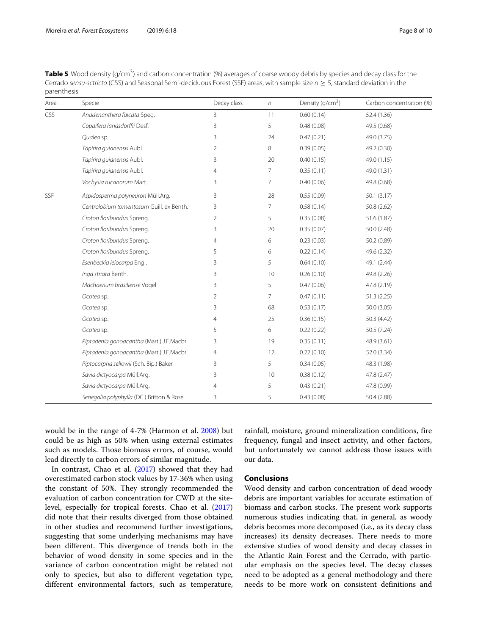<span id="page-7-0"></span>

| Table 5 Wood density (q/cm <sup>3</sup> ) and carbon concentration (%) averages of coarse woody debris by species and decay class for the |
|-------------------------------------------------------------------------------------------------------------------------------------------|
| Cerrado sensu-sctricto (CSS) and Seasonal Semi-deciduous Forest (SSF) areas, with sample size $n \geq 5$ , standard deviation in the      |
| parenthesis                                                                                                                               |

| Area       | Specie                                    | Decay class    | $\sqrt{n}$     | Density (g/cm <sup>3</sup> ) | Carbon concentration (%) |
|------------|-------------------------------------------|----------------|----------------|------------------------------|--------------------------|
| <b>CSS</b> | Anadenanthera falcata Speg.               | $\overline{3}$ | 11             | 0.60(0.14)                   | 52.4 (1.36)              |
|            | Copaifera langsdorffii Desf.              | 3              | 5              | 0.48(0.08)                   | 49.5 (0.68)              |
|            | Qualea sp.                                | 3              | 24             | 0.47(0.21)                   | 49.0 (3.75)              |
|            | Tapirira guianensis Aubl.                 | 2              | 8              | 0.39(0.05)                   | 49.2 (0.30)              |
|            | Tapirira quianensis Aubl.                 | 3              | 20             | 0.40(0.15)                   | 49.0 (1.15)              |
|            | Tapirira guianensis Aubl.                 | $\overline{4}$ | 7              | 0.35(0.11)                   | 49.0 (1.31)              |
|            | Vochysia tucanorum Mart.                  | 3              | $\overline{7}$ | 0.40(0.06)                   | 49.8 (0.68)              |
| SSF        | Aspidosperma polyneuron Müll.Arg.         | 3              | 28             | 0.55(0.09)                   | 50.1(3.17)               |
|            | Centrolobium tomentosum Guill. ex Benth.  | 3              | $\overline{7}$ | 0.58(0.14)                   | 50.8 (2.62)              |
|            | Croton floribundus Spreng.                | 2              | 5              | 0.35(0.08)                   | 51.6 (1.87)              |
|            | Croton floribundus Spreng.                | 3              | 20             | 0.35(0.07)                   | 50.0(2.48)               |
|            | Croton floribundus Spreng.                | 4              | 6              | 0.23(0.03)                   | 50.2 (0.89)              |
|            | Croton floribundus Spreng.                | 5              | 6              | 0.22(0.14)                   | 49.6 (2.32)              |
|            | Esenbeckia leiocarpa Engl.                | 3              | 5              | 0.64(0.10)                   | 49.1 (2.44)              |
|            | Inga striata Benth.                       | 3              | 10             | 0.26(0.10)                   | 49.8 (2.26)              |
|            | Machaerium brasiliense Vogel              | 3              | 5              | 0.47(0.06)                   | 47.8 (2.19)              |
|            | Ocotea sp.                                | 2              | $\overline{7}$ | 0.47(0.11)                   | 51.3(2.25)               |
|            | Ocotea sp.                                | 3              | 68             | 0.53(0.17)                   | 50.0 (3.05)              |
|            | Ocotea sp.                                | 4              | 25             | 0.36(0.15)                   | 50.3(4.42)               |
|            | Ocotea sp.                                | 5              | 6              | 0.22(0.22)                   | 50.5 (7.24)              |
|            | Piptadenia gonoacantha (Mart.) J.F.Macbr. | 3              | 19             | 0.35(0.11)                   | 48.9 (3.61)              |
|            | Piptadenia gonoacantha (Mart.) J.F.Macbr. | 4              | 12             | 0.22(0.10)                   | 52.0 (3.34)              |
|            | Piptocarpha sellowii (Sch. Bip.) Baker    | 3              | 5              | 0.34(0.05)                   | 48.3 (1.98)              |
|            | Savia dictyocarpa Müll.Arg.               | 3              | 10             | 0.38(0.12)                   | 47.8 (2.47)              |
|            | Savia dictyocarpa Müll.Arg.               | 4              | 5              | 0.43(0.21)                   | 47.8 (0.99)              |
|            | Senegalia polyphylla (DC.) Britton & Rose | 3              | 5              | 0.43(0.08)                   | 50.4 (2.88)              |

would be in the range of 4-7% (Harmon et al. [2008\)](#page-8-22) but could be as high as 50% when using external estimates such as models. Those biomass errors, of course, would lead directly to carbon errors of similar magnitude.

In contrast, Chao et al. [\(2017\)](#page-8-6) showed that they had overestimated carbon stock values by 17-36% when using the constant of 50%. They strongly recommended the evaluation of carbon concentration for CWD at the sitelevel, especially for tropical forests. Chao et al. [\(2017\)](#page-8-6) did note that their results diverged from those obtained in other studies and recommend further investigations, suggesting that some underlying mechanisms may have been different. This divergence of trends both in the behavior of wood density in some species and in the variance of carbon concentration might be related not only to species, but also to different vegetation type, different environmental factors, such as temperature,

rainfall, moisture, ground mineralization conditions, fire frequency, fungal and insect activity, and other factors, but unfortunately we cannot address those issues with our data.

### **Conclusions**

Wood density and carbon concentration of dead woody debris are important variables for accurate estimation of biomass and carbon stocks. The present work supports numerous studies indicating that, in general, as woody debris becomes more decomposed (i.e., as its decay class increases) its density decreases. There needs to more extensive studies of wood density and decay classes in the Atlantic Rain Forest and the Cerrado, with particular emphasis on the species level. The decay classes need to be adopted as a general methodology and there needs to be more work on consistent definitions and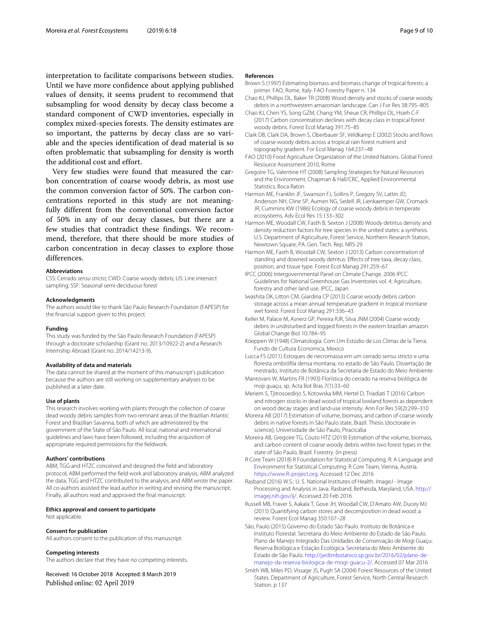interpretation to facilitate comparisons between studies. Until we have more confidence about applying published values of density, it seems prudent to recommend that subsampling for wood density by decay class become a standard component of CWD inventories, especially in complex mixed-species forests. The density estimates are so important, the patterns by decay class are so variable and the species identification of dead material is so often problematic that subsampling for density is worth the additional cost and effort.

Very few studies were found that measured the carbon concentration of coarse woody debris, as most use the common conversion factor of 50%. The carbon concentrations reported in this study are not meaningfully different from the conventional conversion factor of 50% in any of our decay classes, but there are a few studies that contradict these findings. We recommend, therefore, that there should be more studies of carbon concentration in decay classes to explore those differences.

#### **Abbreviations**

CSS: Cerrado sensu stricto; CWD: Coarse woody debris; LIS: Line intersect sampling; SSF: Seasonal semi-deciduous forest

#### **Acknowledgments**

The authors would like to thank São Paulo Research Foundation (FAPESP) for the financial support given to this project.

#### **Funding**

This study was funded by the São Paulo Research Foundation (FAPESP) through a doctorate scholarship (Grant no. 2013/10922-2) and a Research Internship Abroad (Grant no. 2014/14213-9).

#### **Availability of data and materials**

The data cannot be shared at the moment of this manuscript's publication because the authors are still working on supplementary analyses to be published at a later date.

#### **Use of plants**

This research involves working with plants through the collection of coarse dead woody debris samples from two remnant areas of the Brazilian Atlantic Forest and Brazilian Savanna, both of which are administered by the government of the State of São Paulo. All local, national and international guidelines and laws have been followed, including the acquisition of appropriate required permissions for the fieldwork.

#### **Authors' contributions**

ABM, TGG and HTZC conceived and designed the field and laboratory protocol; ABM performed the field work and laboratory analysis; ABM analyzed the data; TGG and HTZC contributed to the analysis; and ABM wrote the paper. All co-authors assisted the lead author in writing and revising the manuscript. Finally, all authors read and approved the final manuscript.

#### **Ethics approval and consent to participate**

Not applicable.

#### **Consent for publication**

All authors consent to the publication of this manuscript.

#### **Competing interests**

The authors declare that they have no competing interests.

Received: 16 October 2018 Accepted: 8 March 2019 Published online: 02 April 2019

#### **References**

- <span id="page-8-3"></span>Brown S (1997) Estimating biomass and biomass change of tropical forests: a primer. FAO, Rome, Italy. FAO Forestry Paper n. 134
- <span id="page-8-21"></span>Chao KJ, Phillips OL, Baker TR (2008) Wood density and stocks of coarse woody debris in a northwestern amazonian landscape. Can J For Res 38:795–805
- <span id="page-8-6"></span>Chao KJ, Chen YS, Song GZM, Chang YM, Sheue CR, Phillips OL, Hsieh C-F (2017) Carbon concentration declines with decay class in tropical forest woody debris. Forest Ecol Manag 391:75–85
- <span id="page-8-7"></span>Clark DB, Clark DA, Brown S, Oberbauer SF, Veldkamp E (2002) Stocks and flows of coarse woody debris across a tropical rain forest nutrient and topography gradient. For Ecol Manag 164:237–48
- <span id="page-8-0"></span>FAO (2010) Food Agriculture Organization of the United Nations. Global Forest Resource Assessment 2010, Rome
- <span id="page-8-14"></span>Gregoire TG, Valentine HT (2008) Sampling Strategies for Natural Resources and the Environment. Chapman & Hall/CRC, Applied Environmental Statistics, Boca Raton
- <span id="page-8-17"></span>Harmon ME, Franklin JF, Swanson FJ, Sollins P, Gregory SV, Lattin JD, Anderson NH, Cline SP, Aumen NG, Sedell JR, Lienkaemper GW, Cromack JR, Cummins KW (1986) Ecology of coarse woody debris in temperate ecosystems. Adv Ecol Res 15:133–302
- <span id="page-8-22"></span>Harmon ME, Woodall CW, Fasth B, Sexton J (2008) Woody detritus density and density reduction factors for tree species in the united states: a synthesis. U.S. Department of Agriculture, Forest Service, Northern Research Station, Newtown Square, PA. Gen. Tech. Rep. NRS-29
- <span id="page-8-5"></span>Harmon ME, Fasth B, Woodall CW, Sexton J (2013) Carbon concentration of standing and downed woody detritus: Effects of tree taxa, decay class, position, and tissue type. Forest Ecol Manag 291:259–67
- <span id="page-8-4"></span>IPCC (2006) Intergovernmental Panel on Climate Change. 2006 IPCC Guidelines for National Greenhouse Gas Inventories vol. 4: Agriculture, forestry and other land use. IPCC, Japan
- <span id="page-8-8"></span>Iwashita DK, Litton CM, Giardina CP (2013) Coarse woody debris carbon storage across a mean annual temperature gradient in tropical montane wet forest. Forest Ecol Manag 291:336–43
- <span id="page-8-13"></span>Keller M, Palace M, Asnerz GP, Pereira RJR, Silva JNM (2004) Coarse woody debris in undisturbed and logged forests in the eastern brazilian amazon. Global Change Biol 10:784–95
- <span id="page-8-10"></span>Köeppen W (1948) Climatologia: Com Um Estúdio de Los Climas de la Tierra. Fundo de Cultura Economica, Mexico
- <span id="page-8-20"></span>Lucca FS (2011) Estoques de necromassa em um cerrado sensu stricto e uma floresta ombrófila densa montana, no estado de São Paulo. Dissertação de mestrado, Instituto de Botânica da Secretaria de Estado do Meio Ambiente
- <span id="page-8-12"></span>Mantovani W, Martins FR (1993) Florística do cerrado na reserva biolôgica de moji guaçu, sp. Acta Bot Bras 7(1):33–60
- <span id="page-8-9"></span>Meriem S, Tjitrosoedirjo S, Kotowska MM, Hertel D, Triadiati T (2016) Carbon and nitrogen stocks in dead wood of tropical lowland forests as dependent on wood decay stages and land-use intensity. Ann For Res 59(2):299–310
- <span id="page-8-15"></span>Moreira AB (2017) Estimation of volume, biomass, and carbon of coarse woody debris in native forests in São Paulo state, Brazil. Thesis (doctorate in science), Universidade de São Paulo, Piracicaba
- <span id="page-8-16"></span>Moreira AB, Gregoire TG, Couto HTZ (2019) Estimation of the volume, biomass, and carbon content of coarse woody debris within two forest types in the state of São Paulo, Brazil. Forestry. (in press)
- <span id="page-8-19"></span>R Core Team (2018) R Foundation for Statistical Computing. R: A Language and Environment for Statistical Computing. R Core Team, Vienna, Austria. [https://www.R-project.org.](https://www.R-project.org) Accessed 12 Dec 2016
- <span id="page-8-18"></span>Rasband (2016) W.S.: U.S. National Institutes of Health. ImageJ - Image Processing and Analysis in Java. Rasband, Bethesda, Maryland, USA. [http://](http://imagej.nih.gov/ij/) [imagej.nih.gov/ij/.](http://imagej.nih.gov/ij/) Accessed 20 Feb 2016
- <span id="page-8-2"></span>Russell MB, Fraver S, Aakala T, Gove JH, Woodall CW, D'Amato AW, Ducey MJ (2015) Quantifying carbon stores and decomposition in dead wood: a review. Forest Ecol Manag 350:107–28
- <span id="page-8-11"></span>São, Paulo (2015) Governo do Estado São Paulo. Instituto de Botânica e Instituto Florestal. Secretaria do Meio Ambiente do Estado de São Paulo. Plano de Manejo Integrado Das Unidades de Conservação de Mogi Guaçu: Reserva Biológica e Estação Ecológica. Secretaria do Meio Ambiente do Estado de São Paulo. [http://jardimbotanico.sp.gov.br/2016/02/plano-de](http://jardimbotanico.sp.gov.br/2016/02/plano-de-manejo-da-reserva-biologica-de-mogi-guacu-2/)[manejo-da-reserva-biologica-de-mogi-guacu-2/.](http://jardimbotanico.sp.gov.br/2016/02/plano-de-manejo-da-reserva-biologica-de-mogi-guacu-2/) Accessed 07 Mar 2016
- <span id="page-8-1"></span>Smith WB, Miles PD, Vissage JS, Pugh SA (2004) Forest Resources of the United States. Department of Agriculture, Forest Service, North Central Research Station. p 137